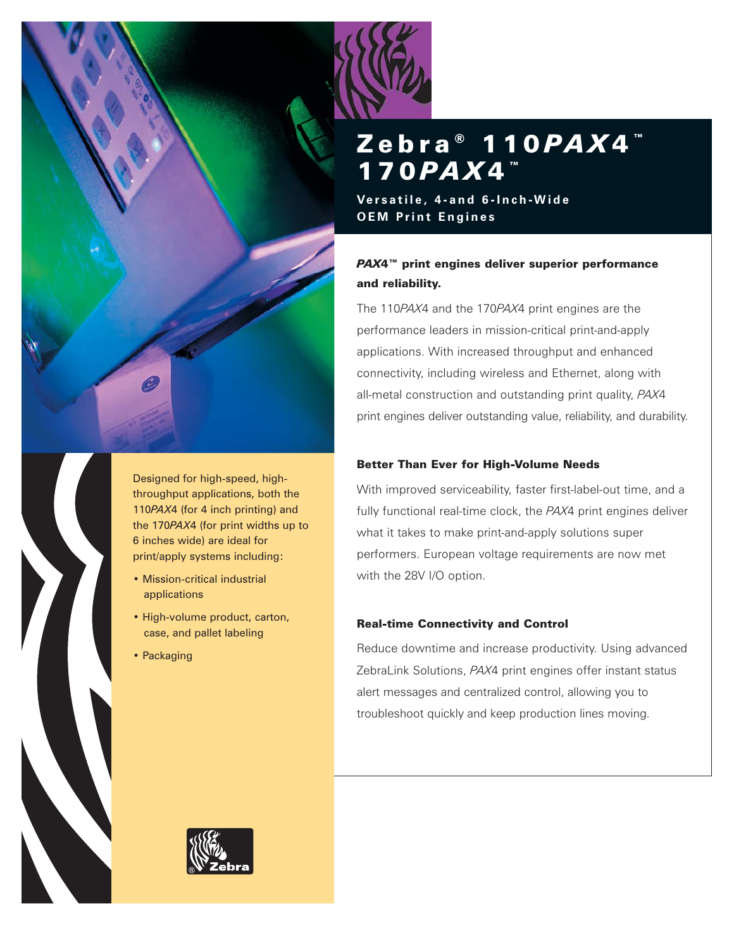

Designed for high-speed, highthroughput applications, both the 110*PAX*4 (for 4 inch printing) and the 170*PAX*4 (for print widths up to 6 inches wide) are ideal for print/apply systems including:

- Mission-critical industrial applications
- High-volume product, carton, case, and pallet labeling
- Packaging

# Zebra<sup>®</sup> 110 *PAX* 4™ 170 *PAX* 4™

**Versatile, 4-and 6-Inch-Wide OEM Print Engines**

# *PAX*4™ print engines deliver superior performance and reliability.

The 110*PAX*4 and the 170*PAX*4 print engines are the performance leaders in mission-critical print-and-apply applications. With increased throughput and enhanced connectivity, including wireless and Ethernet, along with all-metal construction and outstanding print quality, *PAX*4 print engines deliver outstanding value, reliability, and durability.

# Better Than Ever for High-Volume Needs

With improved serviceability, faster first-label-out time, and a fully functional real-time clock, the *PAX*4 print engines deliver what it takes to make print-and-apply solutions super performers. European voltage requirements are now met with the 28V I/O option.

# Real-time Connectivity and Control

Reduce downtime and increase productivity. Using advanced ZebraLink Solutions, *PAX*4 print engines offer instant status alert messages and centralized control, allowing you to troubleshoot quickly and keep production lines moving.